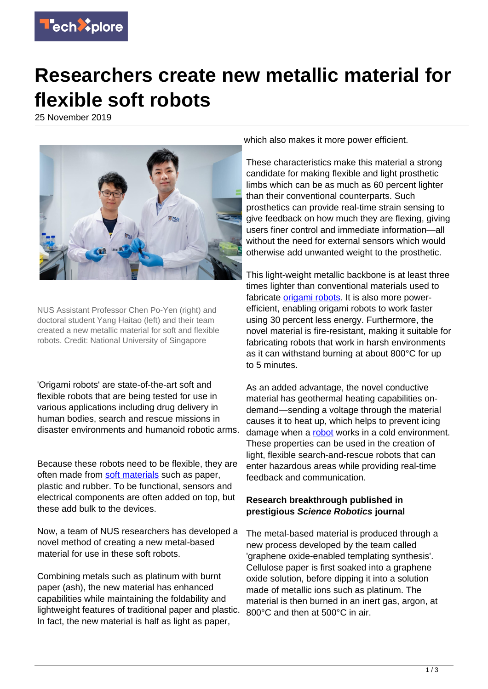

## **Researchers create new metallic material for flexible soft robots**

25 November 2019



NUS Assistant Professor Chen Po-Yen (right) and doctoral student Yang Haitao (left) and their team created a new metallic material for soft and flexible robots. Credit: National University of Singapore

'Origami robots' are state-of-the-art soft and flexible robots that are being tested for use in various applications including drug delivery in human bodies, search and rescue missions in disaster environments and humanoid robotic arms.

Because these robots need to be flexible, they are often made from [soft materials](https://techxplore.com/tags/soft+materials/) such as paper, plastic and rubber. To be functional, sensors and electrical components are often added on top, but these add bulk to the devices.

Now, a team of NUS researchers has developed a novel method of creating a new metal-based material for use in these soft robots.

Combining metals such as platinum with burnt paper (ash), the new material has enhanced capabilities while maintaining the foldability and lightweight features of traditional paper and plastic. In fact, the new material is half as light as paper,

which also makes it more power efficient.

These characteristics make this material a strong candidate for making flexible and light prosthetic limbs which can be as much as 60 percent lighter than their conventional counterparts. Such prosthetics can provide real-time strain sensing to give feedback on how much they are flexing, giving users finer control and immediate information—all without the need for external sensors which would otherwise add unwanted weight to the prosthetic.

This light-weight metallic backbone is at least three times lighter than conventional materials used to fabricate *[origami robots](https://techxplore.com/tags/origami+robots/)*. It is also more powerefficient, enabling origami robots to work faster using 30 percent less energy. Furthermore, the novel material is fire-resistant, making it suitable for fabricating robots that work in harsh environments as it can withstand burning at about 800°C for up to 5 minutes.

As an added advantage, the novel conductive material has geothermal heating capabilities ondemand—sending a voltage through the material causes it to heat up, which helps to prevent icing damage when a [robot](https://techxplore.com/tags/robot/) works in a cold environment. These properties can be used in the creation of light, flexible search-and-rescue robots that can enter hazardous areas while providing real-time feedback and communication.

## **Research breakthrough published in prestigious Science Robotics journal**

The metal-based material is produced through a new process developed by the team called 'graphene oxide-enabled templating synthesis'. Cellulose paper is first soaked into a graphene oxide solution, before dipping it into a solution made of metallic ions such as platinum. The material is then burned in an inert gas, argon, at 800°C and then at 500°C in air.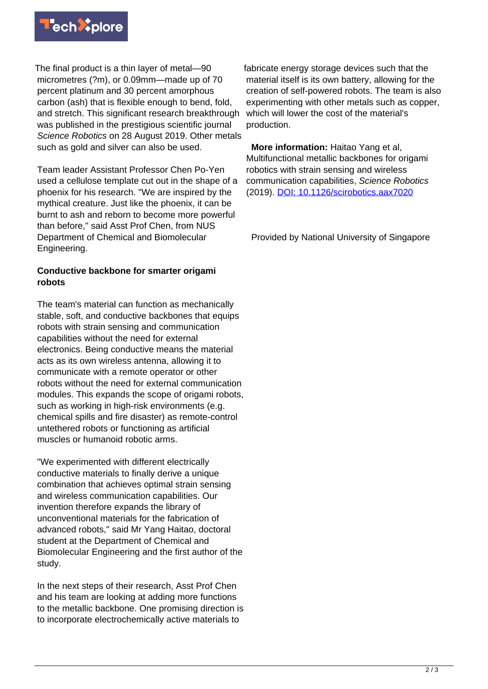

The final product is a thin layer of metal—90 micrometres (?m), or 0.09mm—made up of 70 percent platinum and 30 percent amorphous carbon (ash) that is flexible enough to bend, fold, and stretch. This significant research breakthrough was published in the prestigious scientific journal Science Robotics on 28 August 2019. Other metals such as gold and silver can also be used.

Team leader Assistant Professor Chen Po-Yen used a cellulose template cut out in the shape of a phoenix for his research. "We are inspired by the mythical creature. Just like the phoenix, it can be burnt to ash and reborn to become more powerful than before," said Asst Prof Chen, from NUS Department of Chemical and Biomolecular Engineering.

## **Conductive backbone for smarter origami robots**

The team's material can function as mechanically stable, soft, and conductive backbones that equips robots with strain sensing and communication capabilities without the need for external electronics. Being conductive means the material acts as its own wireless antenna, allowing it to communicate with a remote operator or other robots without the need for external communication modules. This expands the scope of origami robots, such as working in high-risk environments (e.g. chemical spills and fire disaster) as remote-control untethered robots or functioning as artificial muscles or humanoid robotic arms.

"We experimented with different electrically conductive materials to finally derive a unique combination that achieves optimal strain sensing and wireless communication capabilities. Our invention therefore expands the library of unconventional materials for the fabrication of advanced robots," said Mr Yang Haitao, doctoral student at the Department of Chemical and Biomolecular Engineering and the first author of the study.

In the next steps of their research, Asst Prof Chen and his team are looking at adding more functions to the metallic backbone. One promising direction is to incorporate electrochemically active materials to

fabricate energy storage devices such that the material itself is its own battery, allowing for the creation of self-powered robots. The team is also experimenting with other metals such as copper, which will lower the cost of the material's production.

 **More information:** Haitao Yang et al, Multifunctional metallic backbones for origami robotics with strain sensing and wireless communication capabilities, Science Robotics (2019). [DOI: 10.1126/scirobotics.aax7020](http://dx.doi.org/10.1126/scirobotics.aax7020)

Provided by National University of Singapore